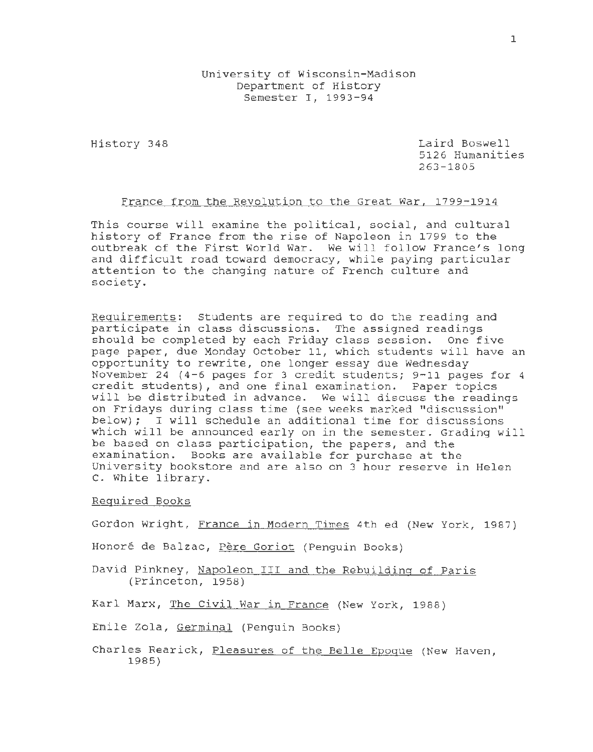University of Wisconsin-Madison Department of History Semester I, 1993-94

History 348 Laird Boswell 5126 Humanities 263-1805

#### France from the Revolution to the Great War, 1799-1914

This course will examine the political, social, and cultural history of France from the rise of Napoleon in 1799 to the outbreak of the First World War. We will follow France's long and difficult road toward democracy, while paying particular attention to the changing nature of French culture and society.

Requirements: Students are required to do the reading and participate in class discussions. The assigned readings should be completed by each Friday class session. One five page paper, due Monday October 11, which students will have an opportunity to rewrite, one longer essay due Wednesday November 24 (4-6 pages for 3 credit students; 9-11 pages for 4 credit students), and one final examination. Paper topics will be distributed in advance. We will discuss the readings on Fridays during class time (see weeks marked "discussion" below); I will schedule an additional time for discussions which will be announced early on in the semester. Grading will be based on class participation, the papers, and the examination. Books are available for purchase at the University bookstore and are also on 3 hour reserve in Helen c. White library.

### Required Books

Gordon Wright, France in Modern Times 4th ed (New York, 1987)

Honoré de Balzac, Père Goriot (Penguin Books)

David Pinkney, Napoleon III and the Rebuilding of Paris (Princeton, 1958)

Karl Marx, The Civil War in France (New York, 1988)

Emile Zola, Germinal (Penguin Books)

Charles Rearick, Pleasures of the Belle Epoque (New Haven, 1985)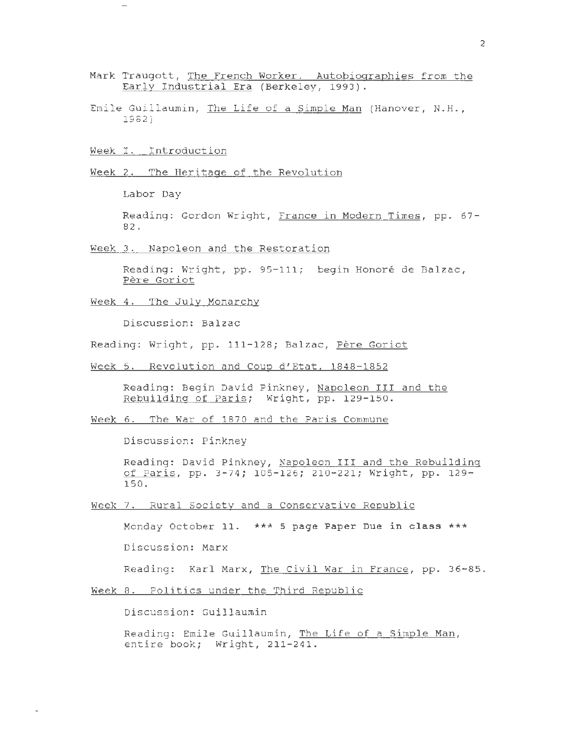- Mark Traugott, The French Worker. Autobiographies from the Early Industrial Era (Berkeley, 1993).
- Emile Guillaumin, The Life of a Simple Man (Hanover, N.H., 1982)

Week I. Introduction

Week 2. The Heritage of the Revolution

Labor Day

Reading: Gordon Wright, France in Modern Times, pp. 67- 82.

Week 3. Napoleon and the Restoration

Reading: Wright, pp. 95-111; begin Honore de Balzac, Pere Goriot

Week 4. The July Monarchy

Discussion: Balzac

Reading: Wright, pp. 111-128; Balzac, Père Goriot

Week 5. Revolution and Coup d'Etat, 1848-1852

Reading: Begin David Pinkney, Napoleon III and the Rebuilding of Paris; Wright, pp. 129-150.

Week 6. The War of 1870 and the Paris Commune

Discussion: Pinkney

Reading: David Pinkney, Napoleon III and the Rebuilding of Paris, pp. 3-74; 105-126; 210-221; Wright, pp. 129- 150.

Week 7. Rural Society and a Conservative Republic

Monday October 11. \*\*\* **5 page Paper Due in class** \*\*\* Discussion: Marx

Reading: Karl Marx, The Civil War in France, pp. 36-85.

Week 8. Politics under the Third Republic

Discussion: Guillaumin

Reading: Emile Guillaumin, The Life of a Simple Man, entire book; Wright, 211-241.